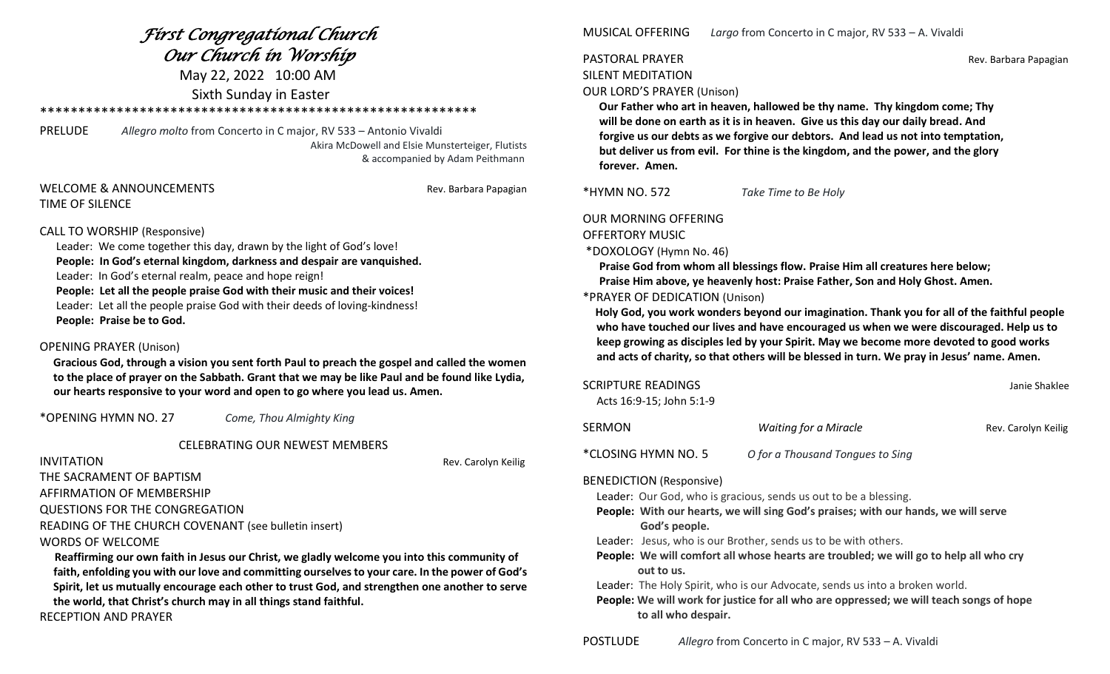### *First Congregational Church Our Church in Worship*

May 22, 2022 10:00 AM Sixth Sunday in Easter

#### \*\*\*\*\*\*\*\*\*\*\*\*\*\*\*\*\*\*\*\*\*\*\*\*\*\*\*\*\*\*\*\*\*\*\*\*\*\*\*\*\*\*\*\*\*\*\*\*\*\*\*\*\*\*\*\*\*

PRELUDE *Allegro molto* from Concerto in C major, RV 533 – Antonio Vivaldi Akira McDowell and Elsie Munsterteiger, Flutists & accompanied by Adam Peithmann

#### WELCOME & ANNOUNCEMENTS THE REV. Barbara Papagian TIME OF SILENCE

#### CALL TO WORSHIP (Responsive)

 Leader: We come together this day, drawn by the light of God's love! **People: In God's eternal kingdom, darkness and despair are vanquished.** Leader: In God's eternal realm, peace and hope reign! **People: Let all the people praise God with their music and their voices!** Leader: Let all the people praise God with their deeds of loving-kindness! **People: Praise be to God.**

#### OPENING PRAYER (Unison)

 **Gracious God, through a vision you sent forth Paul to preach the gospel and called the women to the place of prayer on the Sabbath. Grant that we may be like Paul and be found like Lydia, our hearts responsive to your word and open to go where you lead us. Amen.**

\*OPENING HYMN NO. 27 *Come, Thou Almighty King*

CELEBRATING OUR NEWEST MEMBERS

**INVITATION** Rev. Carolyn Keilig

THE SACRAMENT OF BAPTISM AFFIRMATION OF MEMBERSHIP QUESTIONS FOR THE CONGREGATION

READING OF THE CHURCH COVENANT (see bulletin insert) WORDS OF WELCOME

 **Reaffirming our own faith in Jesus our Christ, we gladly welcome you into this community of faith, enfolding you with our love and committing ourselves to your care. In the power of God's Spirit, let us mutually encourage each other to trust God, and strengthen one another to serve the world, that Christ's church may in all things stand faithful.**

RECEPTION AND PRAYER

MUSICAL OFFERING *Largo* from Concerto in C major, RV 533 – A. Vivaldi

## SILENT MEDITATION

PASTORAL PRAYER **Rev. Barbara Papagian** 

#### OUR LORD'S PRAYER (Unison)

 **Our Father who art in heaven, hallowed be thy name. Thy kingdom come; Thy will be done on earth as it is in heaven. Give us this day our daily bread. And forgive us our debts as we forgive our debtors. And lead us not into temptation, but deliver us from evil. For thine is the kingdom, and the power, and the glory forever. Amen.**

\*HYMN NO. 572 *Take Time to Be Holy*

OUR MORNING OFFERING

OFFERTORY MUSIC

\*DOXOLOGY (Hymn No. 46)

**Praise God from whom all blessings flow. Praise Him all creatures here below;** 

 **Praise Him above, ye heavenly host: Praise Father, Son and Holy Ghost. Amen.** 

#### \*PRAYER OF DEDICATION (Unison)

 **Holy God, you work wonders beyond our imagination. Thank you for all of the faithful people who have touched our lives and have encouraged us when we were discouraged. Help us to keep growing as disciples led by your Spirit. May we become more devoted to good works and acts of charity, so that others will be blessed in turn. We pray in Jesus' name. Amen.**

| SCRIPTURE READINGS<br>Acts 16:9-15; John 5:1-9 |                                  | Janie Shaklee       |
|------------------------------------------------|----------------------------------|---------------------|
| SERMON                                         | <b>Waiting for a Miracle</b>     | Rev. Carolyn Keilig |
| *CLOSING HYMN NO. 5                            | O for a Thousand Tongues to Sing |                     |

#### BENEDICTION (Responsive)

Leader: Our God, who is gracious, sends us out to be a blessing.

 **People: With our hearts, we will sing God's praises; with our hands, we will serve God's people.**

Leader: Jesus, who is our Brother, sends us to be with others.

 **People: We will comfort all whose hearts are troubled; we will go to help all who cry out to us.**

Leader: The Holy Spirit, who is our Advocate, sends us into a broken world.

 **People: We will work for justice for all who are oppressed; we will teach songs of hope to all who despair.**

POSTLUDE *Allegro* from Concerto in C major, RV 533 – A. Vivaldi